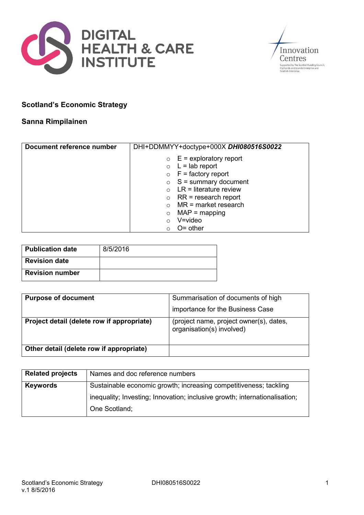



## **Scotland's Economic Strategy**

## **Sanna Rimpilainen**

| Document reference number | DHI+DDMMYY+doctype+000X DHI080516S0022 |
|---------------------------|----------------------------------------|
|                           | $E =$ exploratory report<br>$\circ$    |
|                           | $\circ$ L = lab report                 |
|                           | $\circ$ F = factory report             |
|                           | $\circ$ S = summary document           |
|                           | $LR =$ literature review               |
|                           | $RR = research report$<br>$\circ$      |
|                           | $MR = market research$                 |
|                           | $MAP = mapping$<br>$\circ$             |
|                           | $V = video$                            |
|                           | $O =$ other<br>$\circ$                 |

| <b>Publication date</b> | 8/5/2016 |
|-------------------------|----------|
| <b>Revision date</b>    |          |
| <b>Revision number</b>  |          |

| <b>Purpose of document</b>                 | Summarisation of documents of high                                   |
|--------------------------------------------|----------------------------------------------------------------------|
|                                            | importance for the Business Case                                     |
| Project detail (delete row if appropriate) | (project name, project owner(s), dates,<br>organisation(s) involved) |
| Other detail (delete row if appropriate)   |                                                                      |

| <b>Related projects</b> | Names and doc reference numbers                                            |
|-------------------------|----------------------------------------------------------------------------|
| <b>Keywords</b>         | Sustainable economic growth; increasing competitiveness; tackling          |
|                         | inequality; Investing; Innovation; inclusive growth; internationalisation; |
|                         | One Scotland;                                                              |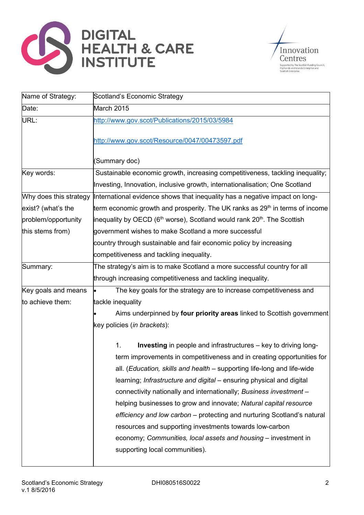



| Name of Strategy:      | Scotland's Economic Strategy                                                                                                                                                                                                                                                                                                                                                                                                                                                                                                                                                                                                                                                                  |  |
|------------------------|-----------------------------------------------------------------------------------------------------------------------------------------------------------------------------------------------------------------------------------------------------------------------------------------------------------------------------------------------------------------------------------------------------------------------------------------------------------------------------------------------------------------------------------------------------------------------------------------------------------------------------------------------------------------------------------------------|--|
| Date:                  | March 2015                                                                                                                                                                                                                                                                                                                                                                                                                                                                                                                                                                                                                                                                                    |  |
| URL:                   | http://www.gov.scot/Publications/2015/03/5984                                                                                                                                                                                                                                                                                                                                                                                                                                                                                                                                                                                                                                                 |  |
|                        | http://www.gov.scot/Resource/0047/00473597.pdf                                                                                                                                                                                                                                                                                                                                                                                                                                                                                                                                                                                                                                                |  |
|                        | (Summary doc)                                                                                                                                                                                                                                                                                                                                                                                                                                                                                                                                                                                                                                                                                 |  |
| Key words:             | Sustainable economic growth, increasing competitiveness, tackling inequality;                                                                                                                                                                                                                                                                                                                                                                                                                                                                                                                                                                                                                 |  |
|                        | Investing, Innovation, inclusive growth, internationalisation; One Scotland                                                                                                                                                                                                                                                                                                                                                                                                                                                                                                                                                                                                                   |  |
| Why does this strategy | International evidence shows that inequality has a negative impact on long-                                                                                                                                                                                                                                                                                                                                                                                                                                                                                                                                                                                                                   |  |
| exist? (what's the     | term economic growth and prosperity. The UK ranks as 29 <sup>th</sup> in terms of income                                                                                                                                                                                                                                                                                                                                                                                                                                                                                                                                                                                                      |  |
| problem/opportunity    | inequality by OECD ( $6th$ worse), Scotland would rank 20 <sup>th</sup> . The Scottish                                                                                                                                                                                                                                                                                                                                                                                                                                                                                                                                                                                                        |  |
| this stems from)       | government wishes to make Scotland a more successful                                                                                                                                                                                                                                                                                                                                                                                                                                                                                                                                                                                                                                          |  |
|                        | country through sustainable and fair economic policy by increasing                                                                                                                                                                                                                                                                                                                                                                                                                                                                                                                                                                                                                            |  |
|                        | competitiveness and tackling inequality.                                                                                                                                                                                                                                                                                                                                                                                                                                                                                                                                                                                                                                                      |  |
| Summary:               | The strategy's aim is to make Scotland a more successful country for all                                                                                                                                                                                                                                                                                                                                                                                                                                                                                                                                                                                                                      |  |
|                        | through increasing competitiveness and tackling inequality.                                                                                                                                                                                                                                                                                                                                                                                                                                                                                                                                                                                                                                   |  |
| Key goals and means    | The key goals for the strategy are to increase competitiveness and<br>l.                                                                                                                                                                                                                                                                                                                                                                                                                                                                                                                                                                                                                      |  |
| to achieve them:       | tackle inequality                                                                                                                                                                                                                                                                                                                                                                                                                                                                                                                                                                                                                                                                             |  |
|                        | Aims underpinned by four priority areas linked to Scottish government                                                                                                                                                                                                                                                                                                                                                                                                                                                                                                                                                                                                                         |  |
|                        | key policies (in brackets):                                                                                                                                                                                                                                                                                                                                                                                                                                                                                                                                                                                                                                                                   |  |
|                        | <b>Investing</b> in people and infrastructures – key to driving long-<br>1.<br>term improvements in competitiveness and in creating opportunities for<br>all. (Education, skills and health – supporting life-long and life-wide<br>learning; Infrastructure and digital – ensuring physical and digital<br>connectivity nationally and internationally; Business investment -<br>helping businesses to grow and innovate; Natural capital resource<br>efficiency and low carbon – protecting and nurturing Scotland's natural<br>resources and supporting investments towards low-carbon<br>economy; Communities, local assets and housing – investment in<br>supporting local communities). |  |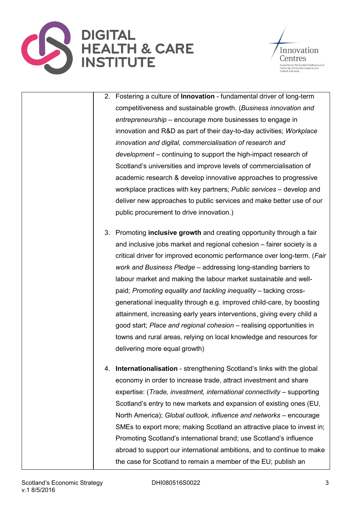



- 2. Fostering a culture of **Innovation** fundamental driver of long-term competitiveness and sustainable growth. (*Business innovation and entrepreneurship* – encourage more businesses to engage in innovation and R&D as part of their day-to-day activities; *Workplace innovation and digital, commercialisation of research and development* – continuing to support the high-impact research of Scotland's universities and improve levels of commercialisation of academic research & develop innovative approaches to progressive workplace practices with key partners; *Public services* – develop and deliver new approaches to public services and make better use of our public procurement to drive innovation.)
- 3. Promoting **inclusive growth** and creating opportunity through a fair and inclusive jobs market and regional cohesion – fairer society is a critical driver for improved economic performance over long-term. (*Fair work and Business Pledge* – addressing long-standing barriers to labour market and making the labour market sustainable and wellpaid; *Promoting equality and tackling inequality* – tacking crossgenerational inequality through e.g. improved child-care, by boosting attainment, increasing early years interventions, giving every child a good start; *Place and regional cohesion* – realising opportunities in towns and rural areas, relying on local knowledge and resources for delivering more equal growth)
- 4. **Internationalisation** strengthening Scotland's links with the global economy in order to increase trade, attract investment and share expertise: (*Trade, investment, international connectivity* – supporting Scotland's entry to new markets and expansion of existing ones (EU, North America); *Global outlook, influence and networks* – encourage SMEs to export more; making Scotland an attractive place to invest in; Promoting Scotland's international brand; use Scotland's influence abroad to support our international ambitions, and to continue to make the case for Scotland to remain a member of the EU; publish an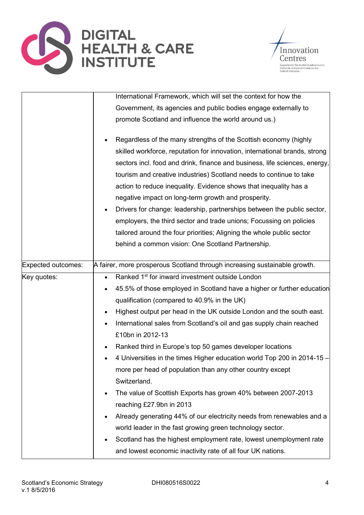



|                    | International Framework, which will set the context for how the                                                                                                                                                                                                                                                                                                                                                                                                                                                                                                                                                                                                         |
|--------------------|-------------------------------------------------------------------------------------------------------------------------------------------------------------------------------------------------------------------------------------------------------------------------------------------------------------------------------------------------------------------------------------------------------------------------------------------------------------------------------------------------------------------------------------------------------------------------------------------------------------------------------------------------------------------------|
|                    | Government, its agencies and public bodies engage externally to                                                                                                                                                                                                                                                                                                                                                                                                                                                                                                                                                                                                         |
|                    | promote Scotland and influence the world around us.)                                                                                                                                                                                                                                                                                                                                                                                                                                                                                                                                                                                                                    |
|                    | Regardless of the many strengths of the Scottish economy (highly<br>skilled workforce, reputation for innovation, international brands, strong<br>sectors incl. food and drink, finance and business, life sciences, energy,<br>tourism and creative industries) Scotland needs to continue to take<br>action to reduce inequality. Evidence shows that inequality has a<br>negative impact on long-term growth and prosperity.<br>Drivers for change: leadership, partnerships between the public sector,<br>$\bullet$<br>employers, the third sector and trade unions; Focussing on policies<br>tailored around the four priorities; Aligning the whole public sector |
|                    | behind a common vision: One Scotland Partnership.                                                                                                                                                                                                                                                                                                                                                                                                                                                                                                                                                                                                                       |
| Expected outcomes: | A fairer, more prosperous Scotland through increasing sustainable growth.                                                                                                                                                                                                                                                                                                                                                                                                                                                                                                                                                                                               |
| Key quotes:        | Ranked 1 <sup>st</sup> for inward investment outside London<br>$\bullet$<br>45.5% of those employed in Scotland have a higher or further education<br>qualification (compared to 40.9% in the UK)<br>Highest output per head in the UK outside London and the south east.<br>$\bullet$<br>International sales from Scotland's oil and gas supply chain reached<br>£10bn in 2012-13<br>Ranked third in Europe's top 50 games developer locations<br>$\bullet$                                                                                                                                                                                                            |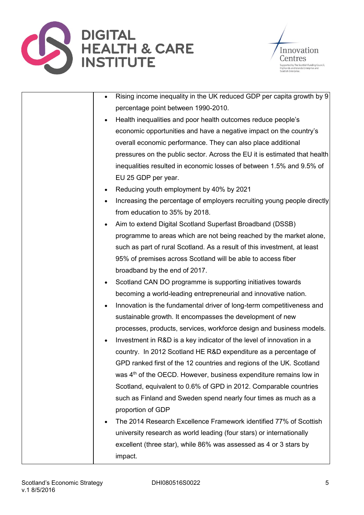



|           | Rising income inequality in the UK reduced GDP per capita growth by 9         |
|-----------|-------------------------------------------------------------------------------|
|           | percentage point between 1990-2010.                                           |
| $\bullet$ | Health inequalities and poor health outcomes reduce people's                  |
|           | economic opportunities and have a negative impact on the country's            |
|           | overall economic performance. They can also place additional                  |
|           | pressures on the public sector. Across the EU it is estimated that health     |
|           | inequalities resulted in economic losses of between 1.5% and 9.5% of          |
|           | EU 25 GDP per year.                                                           |
| ٠         | Reducing youth employment by 40% by 2021                                      |
| $\bullet$ | Increasing the percentage of employers recruiting young people directly       |
|           | from education to 35% by 2018.                                                |
| $\bullet$ | Aim to extend Digital Scotland Superfast Broadband (DSSB)                     |
|           | programme to areas which are not being reached by the market alone,           |
|           | such as part of rural Scotland. As a result of this investment, at least      |
|           | 95% of premises across Scotland will be able to access fiber                  |
|           | broadband by the end of 2017.                                                 |
| $\bullet$ | Scotland CAN DO programme is supporting initiatives towards                   |
|           | becoming a world-leading entrepreneurial and innovative nation.               |
| $\bullet$ | Innovation is the fundamental driver of long-term competitiveness and         |
|           | sustainable growth. It encompasses the development of new                     |
|           | processes, products, services, workforce design and business models.          |
| $\bullet$ | Investment in R&D is a key indicator of the level of innovation in a          |
|           | country. In 2012 Scotland HE R&D expenditure as a percentage of               |
|           | GPD ranked first of the 12 countries and regions of the UK. Scotland          |
|           | was 4 <sup>th</sup> of the OECD. However, business expenditure remains low in |
|           | Scotland, equivalent to 0.6% of GPD in 2012. Comparable countries             |
|           | such as Finland and Sweden spend nearly four times as much as a               |
|           | proportion of GDP                                                             |
| $\bullet$ | The 2014 Research Excellence Framework identified 77% of Scottish             |
|           | university research as world leading (four stars) or internationally          |
|           | excellent (three star), while 86% was assessed as 4 or 3 stars by             |
|           | impact.                                                                       |
|           |                                                                               |